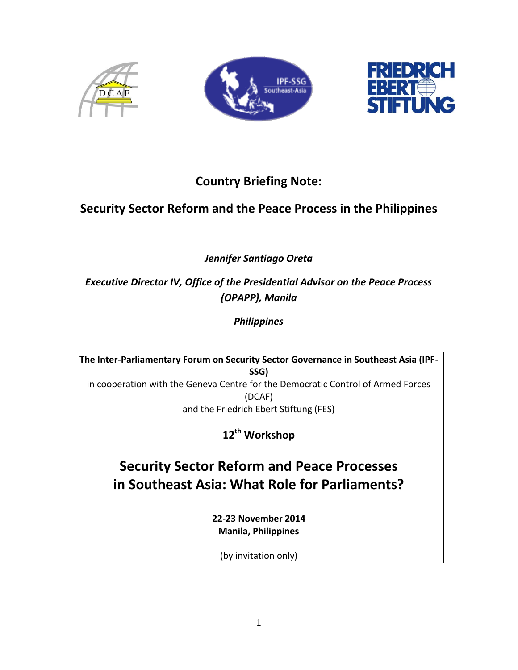





# **Country Briefing Note:**

## **Security Sector Reform and the Peace Process in the Philippines**

*Jennifer Santiago Oreta*

*Executive Director IV, Office of the Presidential Advisor on the Peace Process (OPAPP), Manila*

*Philippines*

**The Inter-Parliamentary Forum on Security Sector Governance in Southeast Asia (IPF-SSG)** in cooperation with the Geneva Centre for the Democratic Control of Armed Forces (DCAF)

and the Friedrich Ebert Stiftung (FES)

**12th Workshop**

**Security Sector Reform and Peace Processes in Southeast Asia: What Role for Parliaments?** 

> **22-23 November 2014 Manila, Philippines**

(by invitation only)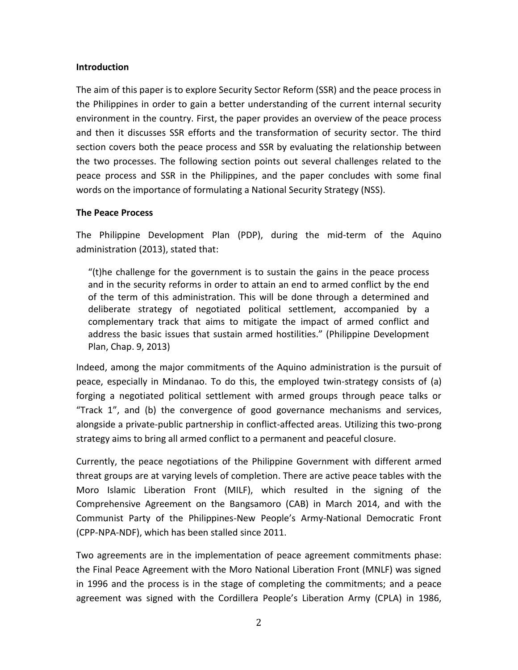#### **Introduction**

The aim of this paper is to explore Security Sector Reform (SSR) and the peace process in the Philippines in order to gain a better understanding of the current internal security environment in the country. First, the paper provides an overview of the peace process and then it discusses SSR efforts and the transformation of security sector. The third section covers both the peace process and SSR by evaluating the relationship between the two processes. The following section points out several challenges related to the peace process and SSR in the Philippines, and the paper concludes with some final words on the importance of formulating a National Security Strategy (NSS).

#### **The Peace Process**

The Philippine Development Plan (PDP), during the mid-term of the Aquino administration (2013), stated that:

"(t)he challenge for the government is to sustain the gains in the peace process and in the security reforms in order to attain an end to armed conflict by the end of the term of this administration. This will be done through a determined and deliberate strategy of negotiated political settlement, accompanied by a complementary track that aims to mitigate the impact of armed conflict and address the basic issues that sustain armed hostilities." (Philippine Development Plan, Chap. 9, 2013)

Indeed, among the major commitments of the Aquino administration is the pursuit of peace, especially in Mindanao. To do this, the employed twin-strategy consists of (a) forging a negotiated political settlement with armed groups through peace talks or "Track 1", and (b) the convergence of good governance mechanisms and services, alongside a private-public partnership in conflict-affected areas. Utilizing this two-prong strategy aims to bring all armed conflict to a permanent and peaceful closure.

Currently, the peace negotiations of the Philippine Government with different armed threat groups are at varying levels of completion. There are active peace tables with the Moro Islamic Liberation Front (MILF), which resulted in the signing of the Comprehensive Agreement on the Bangsamoro (CAB) in March 2014, and with the Communist Party of the Philippines-New People's Army-National Democratic Front (CPP-NPA-NDF), which has been stalled since 2011.

Two agreements are in the implementation of peace agreement commitments phase: the Final Peace Agreement with the Moro National Liberation Front (MNLF) was signed in 1996 and the process is in the stage of completing the commitments; and a peace agreement was signed with the Cordillera People's Liberation Army (CPLA) in 1986,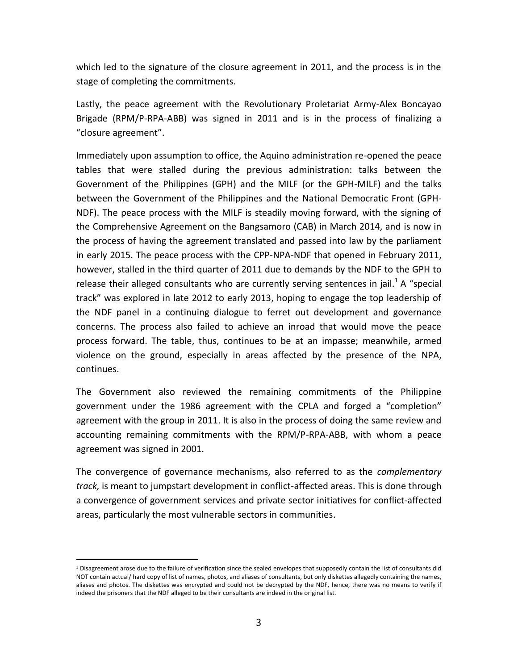which led to the signature of the closure agreement in 2011, and the process is in the stage of completing the commitments.

Lastly, the peace agreement with the Revolutionary Proletariat Army-Alex Boncayao Brigade (RPM/P-RPA-ABB) was signed in 2011 and is in the process of finalizing a "closure agreement".

Immediately upon assumption to office, the Aquino administration re-opened the peace tables that were stalled during the previous administration: talks between the Government of the Philippines (GPH) and the MILF (or the GPH-MILF) and the talks between the Government of the Philippines and the National Democratic Front (GPH-NDF). The peace process with the MILF is steadily moving forward, with the signing of the Comprehensive Agreement on the Bangsamoro (CAB) in March 2014, and is now in the process of having the agreement translated and passed into law by the parliament in early 2015. The peace process with the CPP-NPA-NDF that opened in February 2011, however, stalled in the third quarter of 2011 due to demands by the NDF to the GPH to release their alleged consultants who are currently serving sentences in jail.<sup>1</sup> A "special track" was explored in late 2012 to early 2013, hoping to engage the top leadership of the NDF panel in a continuing dialogue to ferret out development and governance concerns. The process also failed to achieve an inroad that would move the peace process forward. The table, thus, continues to be at an impasse; meanwhile, armed violence on the ground, especially in areas affected by the presence of the NPA, continues.

The Government also reviewed the remaining commitments of the Philippine government under the 1986 agreement with the CPLA and forged a "completion" agreement with the group in 2011. It is also in the process of doing the same review and accounting remaining commitments with the RPM/P-RPA-ABB, with whom a peace agreement was signed in 2001.

The convergence of governance mechanisms, also referred to as the *complementary track,* is meant to jumpstart development in conflict-affected areas. This is done through a convergence of government services and private sector initiatives for conflict-affected areas, particularly the most vulnerable sectors in communities.

 $\overline{a}$ 

 $1$  Disagreement arose due to the failure of verification since the sealed envelopes that supposedly contain the list of consultants did NOT contain actual/ hard copy of list of names, photos, and aliases of consultants, but only diskettes allegedly containing the names, aliases and photos. The diskettes was encrypted and could not be decrypted by the NDF, hence, there was no means to verify if indeed the prisoners that the NDF alleged to be their consultants are indeed in the original list.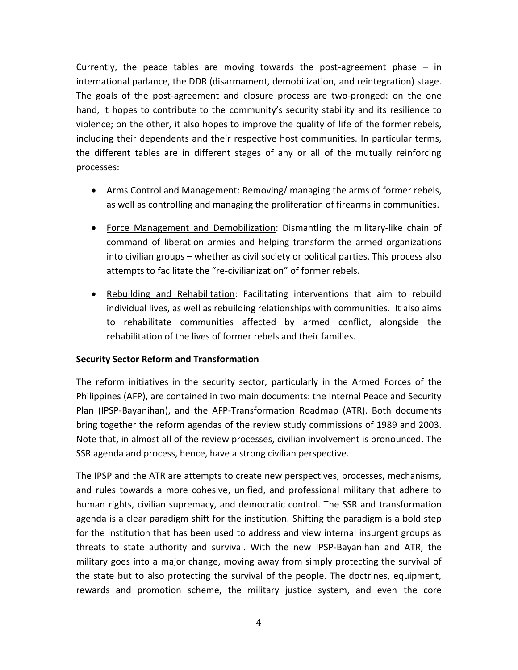Currently, the peace tables are moving towards the post-agreement phase – in international parlance, the DDR (disarmament, demobilization, and reintegration) stage. The goals of the post-agreement and closure process are two-pronged: on the one hand, it hopes to contribute to the community's security stability and its resilience to violence; on the other, it also hopes to improve the quality of life of the former rebels, including their dependents and their respective host communities. In particular terms, the different tables are in different stages of any or all of the mutually reinforcing processes:

- Arms Control and Management: Removing/ managing the arms of former rebels, as well as controlling and managing the proliferation of firearms in communities.
- Force Management and Demobilization: Dismantling the military-like chain of command of liberation armies and helping transform the armed organizations into civilian groups – whether as civil society or political parties. This process also attempts to facilitate the "re-civilianization" of former rebels.
- Rebuilding and Rehabilitation: Facilitating interventions that aim to rebuild individual lives, as well as rebuilding relationships with communities. It also aims to rehabilitate communities affected by armed conflict, alongside the rehabilitation of the lives of former rebels and their families.

### **Security Sector Reform and Transformation**

The reform initiatives in the security sector, particularly in the Armed Forces of the Philippines (AFP), are contained in two main documents: the Internal Peace and Security Plan (IPSP-Bayanihan), and the AFP-Transformation Roadmap (ATR). Both documents bring together the reform agendas of the review study commissions of 1989 and 2003. Note that, in almost all of the review processes, civilian involvement is pronounced. The SSR agenda and process, hence, have a strong civilian perspective.

The IPSP and the ATR are attempts to create new perspectives, processes, mechanisms, and rules towards a more cohesive, unified, and professional military that adhere to human rights, civilian supremacy, and democratic control. The SSR and transformation agenda is a clear paradigm shift for the institution. Shifting the paradigm is a bold step for the institution that has been used to address and view internal insurgent groups as threats to state authority and survival. With the new IPSP-Bayanihan and ATR, the military goes into a major change, moving away from simply protecting the survival of the state but to also protecting the survival of the people. The doctrines, equipment, rewards and promotion scheme, the military justice system, and even the core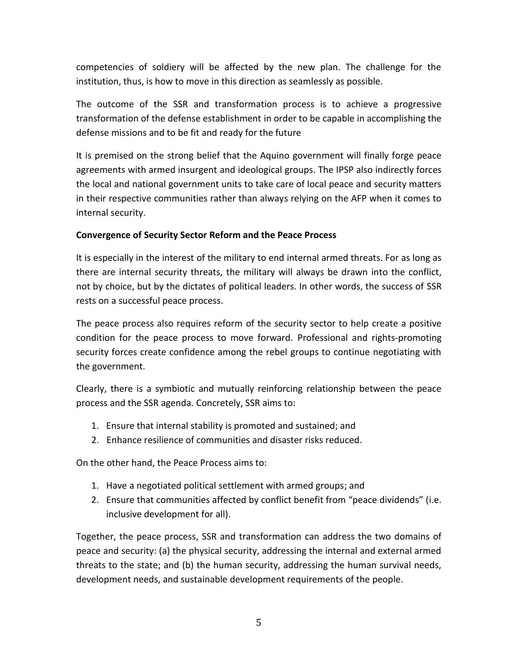competencies of soldiery will be affected by the new plan. The challenge for the institution, thus, is how to move in this direction as seamlessly as possible.

The outcome of the SSR and transformation process is to achieve a progressive transformation of the defense establishment in order to be capable in accomplishing the defense missions and to be fit and ready for the future

It is premised on the strong belief that the Aquino government will finally forge peace agreements with armed insurgent and ideological groups. The IPSP also indirectly forces the local and national government units to take care of local peace and security matters in their respective communities rather than always relying on the AFP when it comes to internal security.

#### **Convergence of Security Sector Reform and the Peace Process**

It is especially in the interest of the military to end internal armed threats. For as long as there are internal security threats, the military will always be drawn into the conflict, not by choice, but by the dictates of political leaders. In other words, the success of SSR rests on a successful peace process.

The peace process also requires reform of the security sector to help create a positive condition for the peace process to move forward. Professional and rights-promoting security forces create confidence among the rebel groups to continue negotiating with the government.

Clearly, there is a symbiotic and mutually reinforcing relationship between the peace process and the SSR agenda. Concretely, SSR aims to:

- 1. Ensure that internal stability is promoted and sustained; and
- 2. Enhance resilience of communities and disaster risks reduced.

On the other hand, the Peace Process aims to:

- 1. Have a negotiated political settlement with armed groups; and
- 2. Ensure that communities affected by conflict benefit from "peace dividends" (i.e. inclusive development for all).

Together, the peace process, SSR and transformation can address the two domains of peace and security: (a) the physical security, addressing the internal and external armed threats to the state; and (b) the human security, addressing the human survival needs, development needs, and sustainable development requirements of the people.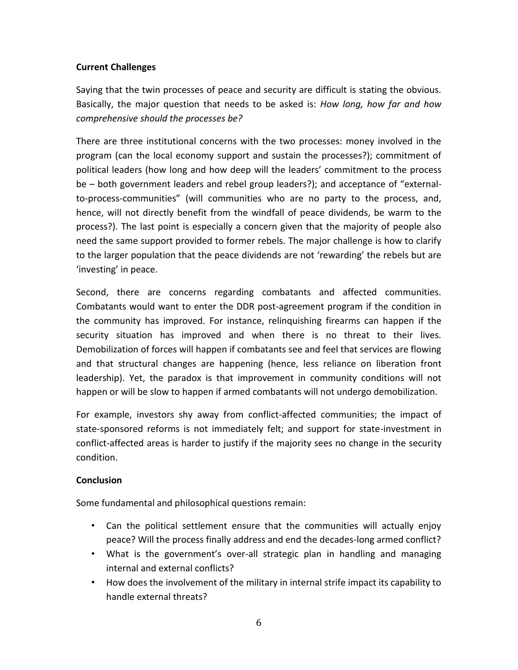## **Current Challenges**

Saying that the twin processes of peace and security are difficult is stating the obvious. Basically, the major question that needs to be asked is: *How long, how far and how comprehensive should the processes be?* 

There are three institutional concerns with the two processes: money involved in the program (can the local economy support and sustain the processes?); commitment of political leaders (how long and how deep will the leaders' commitment to the process be – both government leaders and rebel group leaders?); and acceptance of "externalto-process-communities" (will communities who are no party to the process, and, hence, will not directly benefit from the windfall of peace dividends, be warm to the process?). The last point is especially a concern given that the majority of people also need the same support provided to former rebels. The major challenge is how to clarify to the larger population that the peace dividends are not 'rewarding' the rebels but are 'investing' in peace.

Second, there are concerns regarding combatants and affected communities. Combatants would want to enter the DDR post-agreement program if the condition in the community has improved. For instance, relinquishing firearms can happen if the security situation has improved and when there is no threat to their lives. Demobilization of forces will happen if combatants see and feel that services are flowing and that structural changes are happening (hence, less reliance on liberation front leadership). Yet, the paradox is that improvement in community conditions will not happen or will be slow to happen if armed combatants will not undergo demobilization.

For example, investors shy away from conflict-affected communities; the impact of state-sponsored reforms is not immediately felt; and support for state-investment in conflict-affected areas is harder to justify if the majority sees no change in the security condition.

### **Conclusion**

Some fundamental and philosophical questions remain:

- Can the political settlement ensure that the communities will actually enjoy peace? Will the process finally address and end the decades-long armed conflict?
- What is the government's over-all strategic plan in handling and managing internal and external conflicts?
- How does the involvement of the military in internal strife impact its capability to handle external threats?